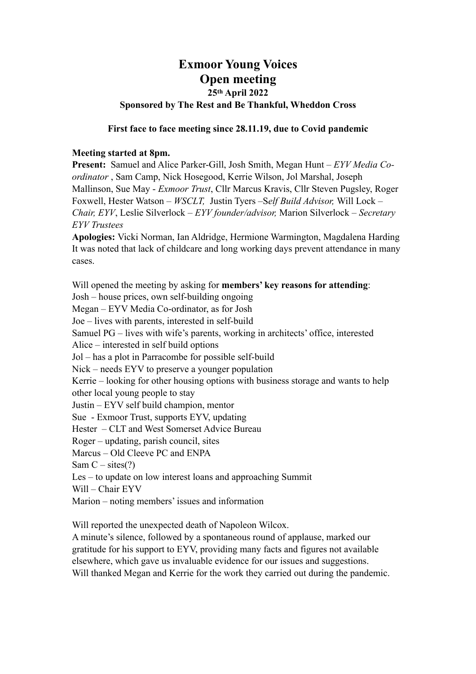# **Exmoor Young Voices Open meeting 25th April 2022 Sponsored by The Rest and Be Thankful, Wheddon Cross**

### **First face to face meeting since 28.11.19, due to Covid pandemic**

### **Meeting started at 8pm.**

**Present:** Samuel and Alice Parker-Gill, Josh Smith, Megan Hunt – *EYV Media Coordinator* , Sam Camp, Nick Hosegood, Kerrie Wilson, Jol Marshal, Joseph Mallinson, Sue May - *Exmoor Trust*, Cllr Marcus Kravis, Cllr Steven Pugsley, Roger Foxwell, Hester Watson – *WSCLT,* Justin Tyers –S*elf Build Advisor,* Will Lock – *Chair, EYV*, Leslie Silverlock – *EYV founder/advisor,* Marion Silverlock *– Secretary EYV Trustees*

**Apologies:** Vicki Norman, Ian Aldridge, Hermione Warmington, Magdalena Harding It was noted that lack of childcare and long working days prevent attendance in many cases.

Will opened the meeting by asking for **members' key reasons for attending**: Josh – house prices, own self-building ongoing Megan – EYV Media Co-ordinator, as for Josh Joe – lives with parents, interested in self-build Samuel PG – lives with wife's parents, working in architects' office, interested Alice – interested in self build options Jol – has a plot in Parracombe for possible self-build Nick – needs EYV to preserve a younger population Kerrie – looking for other housing options with business storage and wants to help other local young people to stay Justin – EYV self build champion, mentor Sue - Exmoor Trust, supports EYV, updating Hester – CLT and West Somerset Advice Bureau Roger – updating, parish council, sites Marcus – Old Cleeve PC and ENPA Sam  $C - \text{sites}(?)$ Les – to update on low interest loans and approaching Summit Will – Chair EYV Marion – noting members' issues and information

Will reported the unexpected death of Napoleon Wilcox.

A minute's silence, followed by a spontaneous round of applause, marked our gratitude for his support to EYV, providing many facts and figures not available elsewhere, which gave us invaluable evidence for our issues and suggestions. Will thanked Megan and Kerrie for the work they carried out during the pandemic.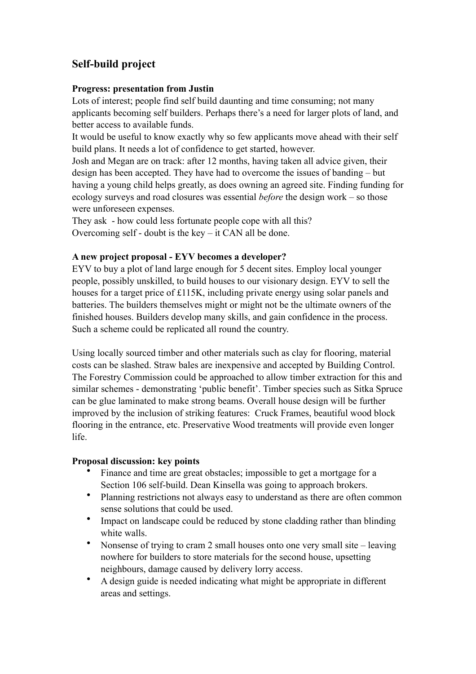# **Self-build project**

## **Progress: presentation from Justin**

Lots of interest; people find self build daunting and time consuming; not many applicants becoming self builders. Perhaps there's a need for larger plots of land, and better access to available funds.

It would be useful to know exactly why so few applicants move ahead with their self build plans. It needs a lot of confidence to get started, however.

Josh and Megan are on track: after 12 months, having taken all advice given, their design has been accepted. They have had to overcome the issues of banding – but having a young child helps greatly, as does owning an agreed site. Finding funding for ecology surveys and road closures was essential *before* the design work – so those were unforeseen expenses.

They ask - how could less fortunate people cope with all this? Overcoming self - doubt is the key – it CAN all be done.

## **A new project proposal - EYV becomes a developer?**

EYV to buy a plot of land large enough for 5 decent sites. Employ local younger people, possibly unskilled, to build houses to our visionary design. EYV to sell the houses for a target price of £115K, including private energy using solar panels and batteries. The builders themselves might or might not be the ultimate owners of the finished houses. Builders develop many skills, and gain confidence in the process. Such a scheme could be replicated all round the country.

Using locally sourced timber and other materials such as clay for flooring, material costs can be slashed. Straw bales are inexpensive and accepted by Building Control. The Forestry Commission could be approached to allow timber extraction for this and similar schemes - demonstrating 'public benefit'. Timber species such as Sitka Spruce can be glue laminated to make strong beams. Overall house design will be further improved by the inclusion of striking features: Cruck Frames, beautiful wood block flooring in the entrance, etc. Preservative Wood treatments will provide even longer life.

#### **Proposal discussion: key points**

- Finance and time are great obstacles; impossible to get a mortgage for a Section 106 self-build. Dean Kinsella was going to approach brokers.
- Planning restrictions not always easy to understand as there are often common sense solutions that could be used.
- Impact on landscape could be reduced by stone cladding rather than blinding white walls.
- Nonsense of trying to cram 2 small houses onto one very small site leaving nowhere for builders to store materials for the second house, upsetting neighbours, damage caused by delivery lorry access.
- A design guide is needed indicating what might be appropriate in different areas and settings.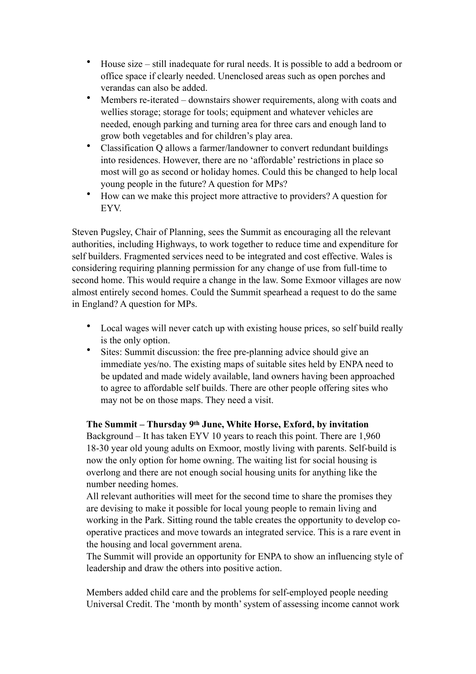- House size still inadequate for rural needs. It is possible to add a bedroom or office space if clearly needed. Unenclosed areas such as open porches and verandas can also be added.
- Members re-iterated downstairs shower requirements, along with coats and wellies storage; storage for tools; equipment and whatever vehicles are needed, enough parking and turning area for three cars and enough land to grow both vegetables and for children's play area.
- Classification Q allows a farmer/landowner to convert redundant buildings into residences. However, there are no 'affordable' restrictions in place so most will go as second or holiday homes. Could this be changed to help local young people in the future? A question for MPs?
- How can we make this project more attractive to providers? A question for EYV.

Steven Pugsley, Chair of Planning, sees the Summit as encouraging all the relevant authorities, including Highways, to work together to reduce time and expenditure for self builders. Fragmented services need to be integrated and cost effective. Wales is considering requiring planning permission for any change of use from full-time to second home. This would require a change in the law. Some Exmoor villages are now almost entirely second homes. Could the Summit spearhead a request to do the same in England? A question for MPs.

- Local wages will never catch up with existing house prices, so self build really is the only option.
- Sites: Summit discussion: the free pre-planning advice should give an immediate yes/no. The existing maps of suitable sites held by ENPA need to be updated and made widely available, land owners having been approached to agree to affordable self builds. There are other people offering sites who may not be on those maps. They need a visit.

## **The Summit – Thursday 9th June, White Horse, Exford, by invitation**

Background – It has taken EYV 10 years to reach this point. There are 1,960 18-30 year old young adults on Exmoor, mostly living with parents. Self-build is now the only option for home owning. The waiting list for social housing is overlong and there are not enough social housing units for anything like the number needing homes.

All relevant authorities will meet for the second time to share the promises they are devising to make it possible for local young people to remain living and working in the Park. Sitting round the table creates the opportunity to develop cooperative practices and move towards an integrated service. This is a rare event in the housing and local government arena.

The Summit will provide an opportunity for ENPA to show an influencing style of leadership and draw the others into positive action.

Members added child care and the problems for self-employed people needing Universal Credit. The 'month by month' system of assessing income cannot work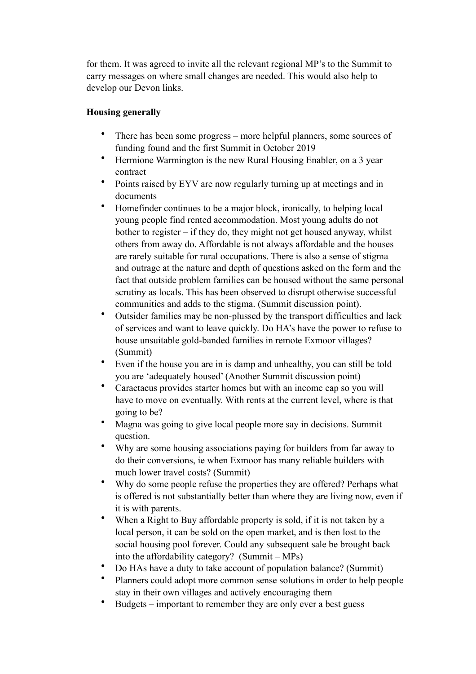for them. It was agreed to invite all the relevant regional MP's to the Summit to carry messages on where small changes are needed. This would also help to develop our Devon links.

# **Housing generally**

- There has been some progress more helpful planners, some sources of funding found and the first Summit in October 2019
- Hermione Warmington is the new Rural Housing Enabler, on a 3 year contract
- Points raised by EYV are now regularly turning up at meetings and in documents
- Homefinder continues to be a major block, ironically, to helping local young people find rented accommodation. Most young adults do not bother to register – if they do, they might not get housed anyway, whilst others from away do. Affordable is not always affordable and the houses are rarely suitable for rural occupations. There is also a sense of stigma and outrage at the nature and depth of questions asked on the form and the fact that outside problem families can be housed without the same personal scrutiny as locals. This has been observed to disrupt otherwise successful communities and adds to the stigma. (Summit discussion point).
- Outsider families may be non-plussed by the transport difficulties and lack of services and want to leave quickly. Do HA's have the power to refuse to house unsuitable gold-banded families in remote Exmoor villages? (Summit)
- Even if the house you are in is damp and unhealthy, you can still be told you are 'adequately housed' (Another Summit discussion point)
- Caractacus provides starter homes but with an income cap so you will have to move on eventually. With rents at the current level, where is that going to be?
- Magna was going to give local people more say in decisions. Summit question.
- Why are some housing associations paying for builders from far away to do their conversions, ie when Exmoor has many reliable builders with much lower travel costs? (Summit)
- Why do some people refuse the properties they are offered? Perhaps what is offered is not substantially better than where they are living now, even if it is with parents.
- When a Right to Buy affordable property is sold, if it is not taken by a local person, it can be sold on the open market, and is then lost to the social housing pool forever. Could any subsequent sale be brought back into the affordability category? (Summit – MPs)
- Do HAs have a duty to take account of population balance? (Summit)
- Planners could adopt more common sense solutions in order to help people stay in their own villages and actively encouraging them
- Budgets important to remember they are only ever a best guess